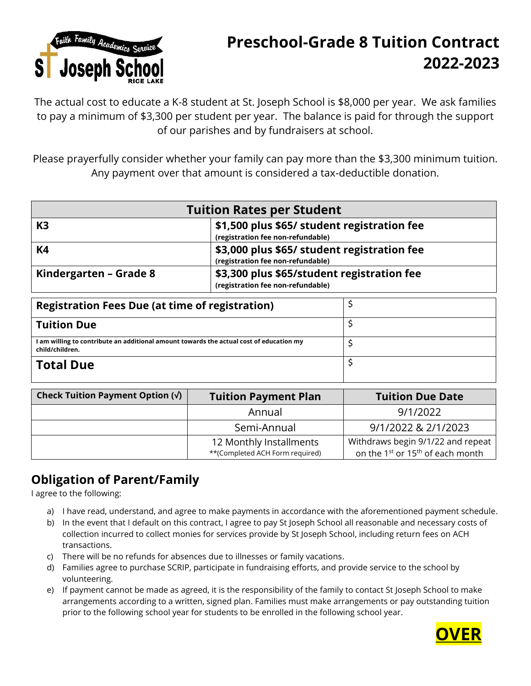

## **Preschool-Grade 8 Tuition Contract 2022-2023**

The actual cost to educate a K-8 student at St. Joseph School is \$8,000 per year. We ask families to pay a minimum of \$3,300 per student per year. The balance is paid for through the support of our parishes and by fundraisers at school.

Please prayerfully consider whether your family can pay more than the \$3,300 minimum tuition. Any payment over that amount is considered a tax-deductible donation.

| <b>Tuition Rates per Student</b> |                                                                                  |  |
|----------------------------------|----------------------------------------------------------------------------------|--|
| K <sub>3</sub>                   | \$1,500 plus \$65/ student registration fee<br>(registration fee non-refundable) |  |
| K4                               | \$3,000 plus \$65/ student registration fee<br>(registration fee non-refundable) |  |
| Kindergarten – Grade 8           | \$3,300 plus \$65/student registration fee<br>(registration fee non-refundable)  |  |

| <b>Registration Fees Due (at time of registration)</b>                                                     |  |
|------------------------------------------------------------------------------------------------------------|--|
| <b>Tuition Due</b>                                                                                         |  |
| I am willing to contribute an additional amount towards the actual cost of education my<br>child/children. |  |
| <b>Total Due</b>                                                                                           |  |

| Check Tuition Payment Option $(\sqrt{})$ | <b>Tuition Payment Plan</b>                                | <b>Tuition Due Date</b>                                                                       |
|------------------------------------------|------------------------------------------------------------|-----------------------------------------------------------------------------------------------|
|                                          | Annual                                                     | 9/1/2022                                                                                      |
|                                          | Semi-Annual                                                | 9/1/2022 & 2/1/2023                                                                           |
|                                          | 12 Monthly Installments<br>**(Completed ACH Form required) | Withdraws begin 9/1/22 and repeat<br>on the 1 <sup>st</sup> or 15 <sup>th</sup> of each month |

## **Obligation of Parent/Family**

I agree to the following:

- a) I have read, understand, and agree to make payments in accordance with the aforementioned payment schedule.
- b) In the event that I default on this contract, I agree to pay St Joseph School all reasonable and necessary costs of collection incurred to collect monies for services provide by St Joseph School, including return fees on ACH transactions.
- c) There will be no refunds for absences due to illnesses or family vacations.
- d) Families agree to purchase SCRIP, participate in fundraising efforts, and provide service to the school by volunteering.
- e) If payment cannot be made as agreed, it is the responsibility of the family to contact St Joseph School to make arrangements according to a written, signed plan. Families must make arrangements or pay outstanding tuition prior to the following school year for students to be enrolled in the following school year.